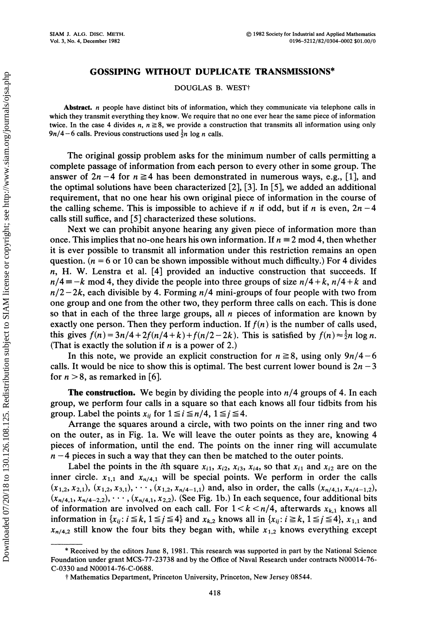SIAM J. ALG. DISC. METH. Vol. 3, No. 4, December 1982

DOUGLAS B. WEST<sup>†</sup>

Abstract. *n* people have distinct bits of information, which they communicate via telephone calls in which they transmit everything they know. We require that no one ever hear the same piece of information twice. In the case 4 divides n,  $n \ge 8$ , we provide a construction that transmits all information using only  $9n/4-6$  calls. Previous constructions used  $\frac{1}{2}n \log n$  calls.

The original gossip problem asks for the minimum number of calls permitting a complete passage of information from each person to every other in some group. The answer of  $2n-4$  for  $n \ge 4$  has been demonstrated in numerous ways, e.g., [1], and the optimal solutions have been characterized  $[2]$ ,  $[3]$ . In  $[5]$ , we added an additional requirement, that no one hear his own original piece of information in the course of the calling scheme. This is impossible to achieve if n if odd, but if n is even,  $2n-4$ calls still suffice, and [5] characterized these solutions.

Next we can prohibit anyone hearing any given piece of information more than once. This implies that no-one hears his own information. If  $n \equiv 2 \mod 4$ , then whether it is ever possible to transmit all information under this restriction remains an open question. ( $n = 6$  or 10 can be shown impossible without much difficulty.) For 4 divides  $n$ , H. W. Lenstra et al. [4] provided an inductive construction that succeeds. If  $n/4 \equiv -k$  mod 4, they divide the people into three groups of size  $n/4 + k$ ,  $n/4 + k$  and  $n/2-2k$ , each divisible by 4. Forming  $n/4$  mini-groups of four people with two from one group and one from the other two, they perform three calls on each. This is done so that in each of the three large groups, all  $n$  pieces of information are known by exactly one person. Then they perform induction. If  $f(n)$  is the number of calls used, this gives  $f(n) = 3n/4 + 2f(n/4 + k) + f(n/2 - 2k)$ . This is satisfied by  $f(n) \approx \frac{1}{2}n \log n$ . (That is exactly the solution if  $n$  is a power of 2.)

In this note, we provide an explicit construction for  $n \ge 8$ , using only  $9n/4-6$ calls. It would be nice to show this is optimal. The best current lower bound is  $2n-3$ for  $n > 8$ , as remarked in [6].

**The construction.** We begin by dividing the people into  $n/4$  groups of 4. In each group, we perform four calls in a square so that each knows all four tidbits from his group. Label the points  $x_{ii}$  for  $1 \le i \le n/4$ ,  $1 \le j \le 4$ .

Arrange the squares around a circle, with two points on the inner ring and two on the outer, as in Fig. 1a. We will leave the outer points as they are, knowing 4 pieces of information, until the end. The points on the inner ring will accumulate  $n-4$  pieces in such a way that they can then be matched to the outer points.

Label the points in the *i*th square  $x_{i1}$ ,  $x_{i2}$ ,  $x_{i3}$ ,  $x_{i4}$ , so that  $x_{i1}$  and  $x_{i2}$  are on the inner circle,  $x_{1,1}$  and  $x_{n/4,1}$  will be special points. We perform in order the calls  $(x_{1,2}, x_{2,1}), (x_{1,2}, x_{3,1}), \cdots, (x_{1,2}, x_{n/4-1,1})$  and, also in order, the calls  $(x_{n/4,1}, x_{n/4-1,2}),$  $(x_{n/4,1}, x_{n/4-2,2}), \cdots, (x_{n/4,1}, x_{2,2})$ . (See Fig. 1b.) In each sequence, four additional bits of information are involved on each call. For  $1 < k < n/4$ , afterwards  $x_{k,1}$  knows all information in  $\{x_{ij}: i \leq k, 1 \leq j \leq 4\}$  and  $x_{k,2}$  knows all in  $\{x_{ij}: i \geq k, 1 \leq j \leq 4\}$ ,  $x_{1,1}$  and  $x_{n/4,2}$  still know the four bits they began with, while  $x_{1,2}$  knows everything except

<sup>\*</sup> Received by the editors June 8, 1981. This research was supported in part by the National Science Foundation under grant MCS-77-23738 and by the Office of Naval Research under contracts N00014-76- C-0330 and N00014-76-C-0688.

Mathematics Department, Princeton University, Princeton, New Jersey 08544.